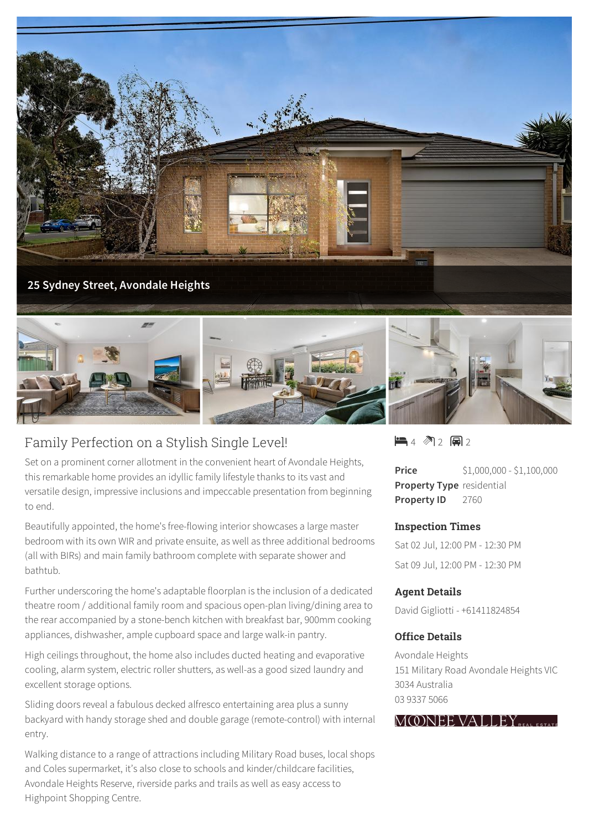



# Family Perfection on a Stylish Single Level!

Set on a prominent corner allotment in the convenient heart of Avondale Heights, this remarkable home provides an idyllic family lifestyle thanks to its vast and versatile design, impressive inclusions and impeccable presentation from beginning to end.

Beautifully appointed, the home's free-flowing interior showcases a large master bedroom with its own WIR and private ensuite, as well as three additional bedrooms (all with BIRs) and main family bathroom complete with separate shower and bathtub.

Further underscoring the home's adaptable floorplan is the inclusion of a dedicated theatre room / additional family room and spacious open-plan living/dining area to the rear accompanied by a stone-bench kitchen with breakfast bar, 900mm cooking appliances, dishwasher, ample cupboard space and large walk-in pantry.

High ceilings throughout, the home also includes ducted heating and evaporative cooling, alarm system, electric roller shutters, as well-as a good sized laundry and excellent storage options.

Sliding doors reveal a fabulous decked alfresco entertaining area plus a sunny backyard with handy storage shed and double garage (remote-control) with internal entry.

Walking distance to a range of attractions including Military Road buses, local shops and Coles supermarket, it's also close to schools and kinder/childcare facilities, Avondale Heights Reserve, riverside parks and trails as well as easy access to Highpoint Shopping Centre.

 $\blacksquare$ 4  $\blacksquare$ 2  $\blacksquare$ 2

**Price** \$1,000,000 - \$1,100,000 **Property Type** residential **Property ID** 2760

#### **Inspection Times**

Sat 02 Jul, 12:00 PM - 12:30 PM Sat 09 Jul, 12:00 PM - 12:30 PM

#### **Agent Details**

David Gigliotti - +61411824854

### **Office Details**

Avondale Heights 151 Military Road Avondale Heights VIC 3034 Australia 03 9337 5066